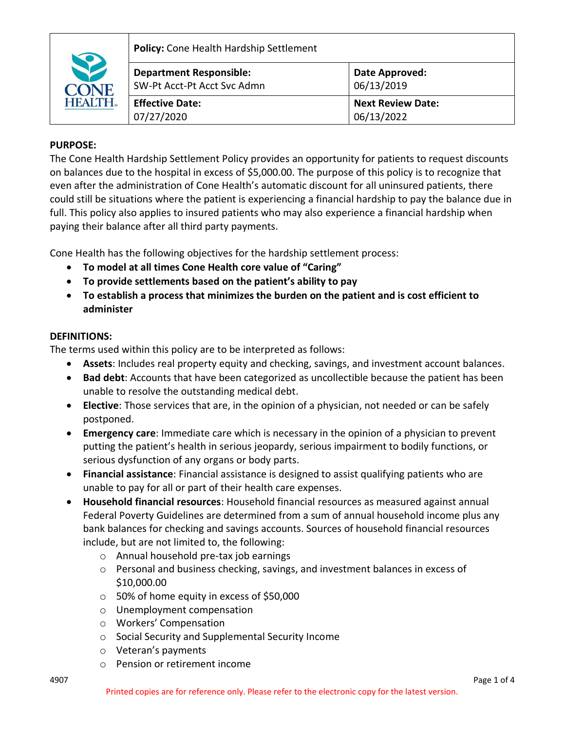

**Policy:** Cone Health Hardship Settlement

| <b>Department Responsible:</b><br>SW-Pt Acct-Pt Acct Syc Admn | Date Approved:<br>06/13/2019 |
|---------------------------------------------------------------|------------------------------|
|                                                               |                              |
| <b>Effective Date:</b>                                        | <b>Next Review Date:</b>     |
| 07/27/2020                                                    | 06/13/2022                   |

# **PURPOSE:**

The Cone Health Hardship Settlement Policy provides an opportunity for patients to request discounts on balances due to the hospital in excess of \$5,000.00. The purpose of this policy is to recognize that even after the administration of Cone Health's automatic discount for all uninsured patients, there could still be situations where the patient is experiencing a financial hardship to pay the balance due in full. This policy also applies to insured patients who may also experience a financial hardship when paying their balance after all third party payments.

Cone Health has the following objectives for the hardship settlement process:

- **To model at all times Cone Health core value of "Caring"**
- **To provide settlements based on the patient's ability to pay**
- **To establish a process that minimizes the burden on the patient and is cost efficient to administer**

## **DEFINITIONS:**

The terms used within this policy are to be interpreted as follows:

- **Assets**: Includes real property equity and checking, savings, and investment account balances.
- **Bad debt**: Accounts that have been categorized as uncollectible because the patient has been unable to resolve the outstanding medical debt.
- **Elective**: Those services that are, in the opinion of a physician, not needed or can be safely postponed.
- **Emergency care**: Immediate care which is necessary in the opinion of a physician to prevent putting the patient's health in serious jeopardy, serious impairment to bodily functions, or serious dysfunction of any organs or body parts.
- **Financial assistance**: Financial assistance is designed to assist qualifying patients who are unable to pay for all or part of their health care expenses.
- **Household financial resources**: Household financial resources as measured against annual Federal Poverty Guidelines are determined from a sum of annual household income plus any bank balances for checking and savings accounts. Sources of household financial resources include, but are not limited to, the following:
	- o Annual household pre-tax job earnings
	- $\circ$  Personal and business checking, savings, and investment balances in excess of \$10,000.00
	- o 50% of home equity in excess of \$50,000
	- o Unemployment compensation
	- o Workers' Compensation
	- o Social Security and Supplemental Security Income
	- o Veteran's payments
	- o Pension or retirement income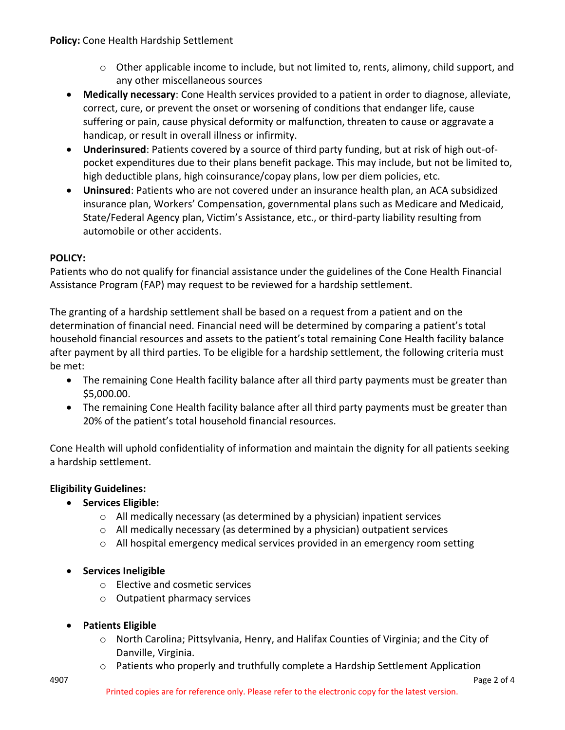- $\circ$  Other applicable income to include, but not limited to, rents, alimony, child support, and any other miscellaneous sources
- **Medically necessary**: Cone Health services provided to a patient in order to diagnose, alleviate, correct, cure, or prevent the onset or worsening of conditions that endanger life, cause suffering or pain, cause physical deformity or malfunction, threaten to cause or aggravate a handicap, or result in overall illness or infirmity.
- **Underinsured**: Patients covered by a source of third party funding, but at risk of high out-ofpocket expenditures due to their plans benefit package. This may include, but not be limited to, high deductible plans, high coinsurance/copay plans, low per diem policies, etc.
- **Uninsured**: Patients who are not covered under an insurance health plan, an ACA subsidized insurance plan, Workers' Compensation, governmental plans such as Medicare and Medicaid, State/Federal Agency plan, Victim's Assistance, etc., or third-party liability resulting from automobile or other accidents.

# **POLICY:**

Patients who do not qualify for financial assistance under the guidelines of the Cone Health Financial Assistance Program (FAP) may request to be reviewed for a hardship settlement.

The granting of a hardship settlement shall be based on a request from a patient and on the determination of financial need. Financial need will be determined by comparing a patient's total household financial resources and assets to the patient's total remaining Cone Health facility balance after payment by all third parties. To be eligible for a hardship settlement, the following criteria must be met:

- The remaining Cone Health facility balance after all third party payments must be greater than \$5,000.00.
- The remaining Cone Health facility balance after all third party payments must be greater than 20% of the patient's total household financial resources.

Cone Health will uphold confidentiality of information and maintain the dignity for all patients seeking a hardship settlement.

# **Eligibility Guidelines:**

- **Services Eligible:**
	- o All medically necessary (as determined by a physician) inpatient services
	- $\circ$  All medically necessary (as determined by a physician) outpatient services
	- o All hospital emergency medical services provided in an emergency room setting
- **Services Ineligible**
	- o Elective and cosmetic services
	- o Outpatient pharmacy services
- **Patients Eligible**
	- o North Carolina; Pittsylvania, Henry, and Halifax Counties of Virginia; and the City of Danville, Virginia.
	- $\circ$  Patients who properly and truthfully complete a Hardship Settlement Application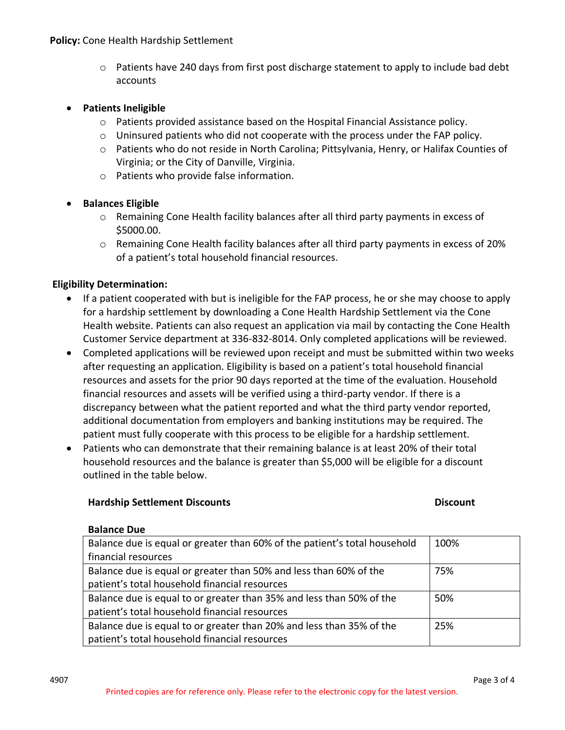$\circ$  Patients have 240 days from first post discharge statement to apply to include bad debt accounts

#### • **Patients Ineligible**

- o Patients provided assistance based on the Hospital Financial Assistance policy.
- $\circ$  Uninsured patients who did not cooperate with the process under the FAP policy.
- o Patients who do not reside in North Carolina; Pittsylvania, Henry, or Halifax Counties of Virginia; or the City of Danville, Virginia.
- o Patients who provide false information.

### • **Balances Eligible**

- o Remaining Cone Health facility balances after all third party payments in excess of \$5000.00.
- $\circ$  Remaining Cone Health facility balances after all third party payments in excess of 20% of a patient's total household financial resources.

### **Eligibility Determination:**

- If a patient cooperated with but is ineligible for the FAP process, he or she may choose to apply for a hardship settlement by downloading a Cone Health Hardship Settlement via the Cone Health website. Patients can also request an application via mail by contacting the Cone Health Customer Service department at 336-832-8014. Only completed applications will be reviewed.
- Completed applications will be reviewed upon receipt and must be submitted within two weeks after requesting an application. Eligibility is based on a patient's total household financial resources and assets for the prior 90 days reported at the time of the evaluation. Household financial resources and assets will be verified using a third-party vendor. If there is a discrepancy between what the patient reported and what the third party vendor reported, additional documentation from employers and banking institutions may be required. The patient must fully cooperate with this process to be eligible for a hardship settlement.
- Patients who can demonstrate that their remaining balance is at least 20% of their total household resources and the balance is greater than \$5,000 will be eligible for a discount outlined in the table below.

#### **Hardship Settlement Discounts**

#### **Discount**

#### **Balance Due**

| Balance due is equal or greater than 60% of the patient's total household | 100% |
|---------------------------------------------------------------------------|------|
| financial resources                                                       |      |
| Balance due is equal or greater than 50% and less than 60% of the         | 75%  |
| patient's total household financial resources                             |      |
| Balance due is equal to or greater than 35% and less than 50% of the      | 50%  |
| patient's total household financial resources                             |      |
| Balance due is equal to or greater than 20% and less than 35% of the      | 25%  |
| patient's total household financial resources                             |      |